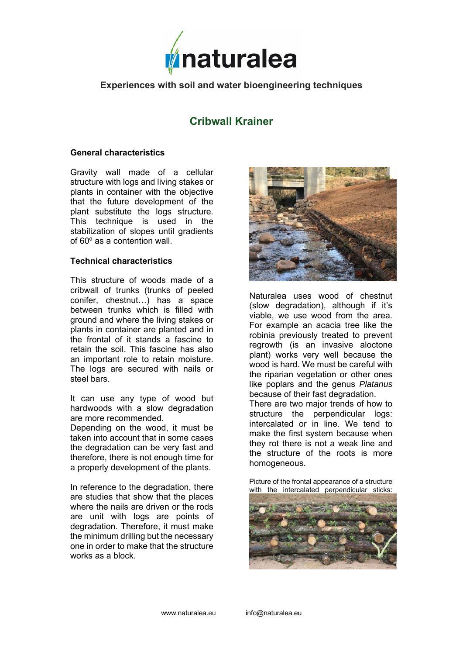

# **Cribwall Krainer**

### **General characteristics**

Gravity wall made of a cellular structure with logs and living stakes or plants in container with the objective that the future development of the plant substitute the logs structure. This technique is used in the stabilization of slopes until gradients of 60º as a contention wall.

### **Technical characteristics**

This structure of woods made of a cribwall of trunks (trunks of peeled conifer, chestnut…) has a space between trunks which is filled with ground and where the living stakes or plants in container are planted and in the frontal of it stands a fascine to retain the soil. This fascine has also an important role to retain moisture. The logs are secured with nails or steel bars.

It can use any type of wood but hardwoods with a slow degradation are more recommended.

Depending on the wood, it must be taken into account that in some cases the degradation can be very fast and therefore, there is not enough time for a properly development of the plants.

In reference to the degradation, there are studies that show that the places where the nails are driven or the rods are unit with logs are points of degradation. Therefore, it must make the minimum drilling but the necessary one in order to make that the structure works as a block.



Naturalea uses wood of chestnut (slow degradation), although if it's viable, we use wood from the area. For example an acacia tree like the robinia previously treated to prevent regrowth (is an invasive aloctone plant) works very well because the wood is hard. We must be careful with the riparian vegetation or other ones like poplars and the genus *Platanus* because of their fast degradation.

There are two major trends of how to structure the perpendicular logs: intercalated or in line. We tend to make the first system because when they rot there is not a weak line and the structure of the roots is more homogeneous.

Picture of the frontal appearance of a structure with the intercalated perpendicular sticks:

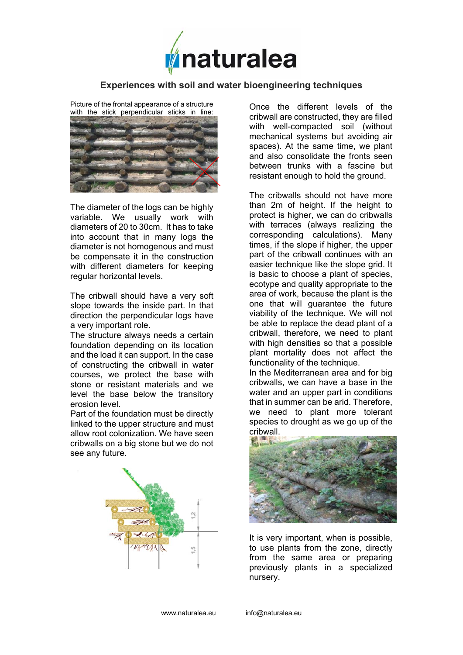

Picture of the frontal appearance of a structure with the stick perpendicular sticks in line:



The diameter of the logs can be highly variable. We usually work with diameters of 20 to 30cm. It has to take into account that in many logs the diameter is not homogenous and must be compensate it in the construction with different diameters for keeping regular horizontal levels.

The cribwall should have a very soft slope towards the inside part. In that direction the perpendicular logs have a very important role.

The structure always needs a certain foundation depending on its location and the load it can support. In the case of constructing the cribwall in water courses, we protect the base with stone or resistant materials and we level the base below the transitory erosion level.

Part of the foundation must be directly linked to the upper structure and must allow root colonization. We have seen cribwalls on a big stone but we do not see any future.



Once the different levels of the cribwall are constructed, they are filled with well-compacted soil (without mechanical systems but avoiding air spaces). At the same time, we plant and also consolidate the fronts seen between trunks with a fascine but resistant enough to hold the ground.

The cribwalls should not have more than 2m of height. If the height to protect is higher, we can do cribwalls with terraces (always realizing the corresponding calculations). Many times, if the slope if higher, the upper part of the cribwall continues with an easier technique like the slope grid. It is basic to choose a plant of species, ecotype and quality appropriate to the area of work, because the plant is the one that will guarantee the future viability of the technique. We will not be able to replace the dead plant of a cribwall, therefore, we need to plant with high densities so that a possible plant mortality does not affect the functionality of the technique.

In the Mediterranean area and for big cribwalls, we can have a base in the water and an upper part in conditions that in summer can be arid. Therefore, we need to plant more tolerant species to drought as we go up of the cribwall.



It is very important, when is possible, to use plants from the zone, directly from the same area or preparing previously plants in a specialized nursery.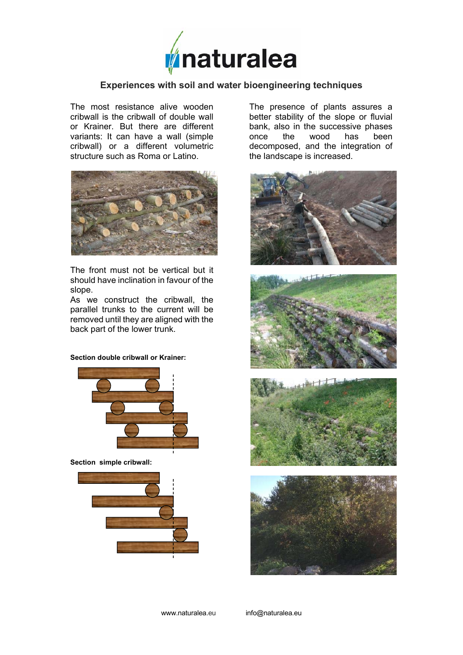

The most resistance alive wooden cribwall is the cribwall of double wall or Krainer. But there are different variants: It can have a wall (simple cribwall) or a different volumetric structure such as Roma or Latino.



The front must not be vertical but it should have inclination in favour of the slope.

As we construct the cribwall, the parallel trunks to the current will be removed until they are aligned with the back part of the lower trunk.

#### **Section double cribwall or Krainer:**



**Section simple cribwall:** 



The presence of plants assures a better stability of the slope or fluvial bank, also in the successive phases once the wood has been decomposed, and the integration of the landscape is increased.